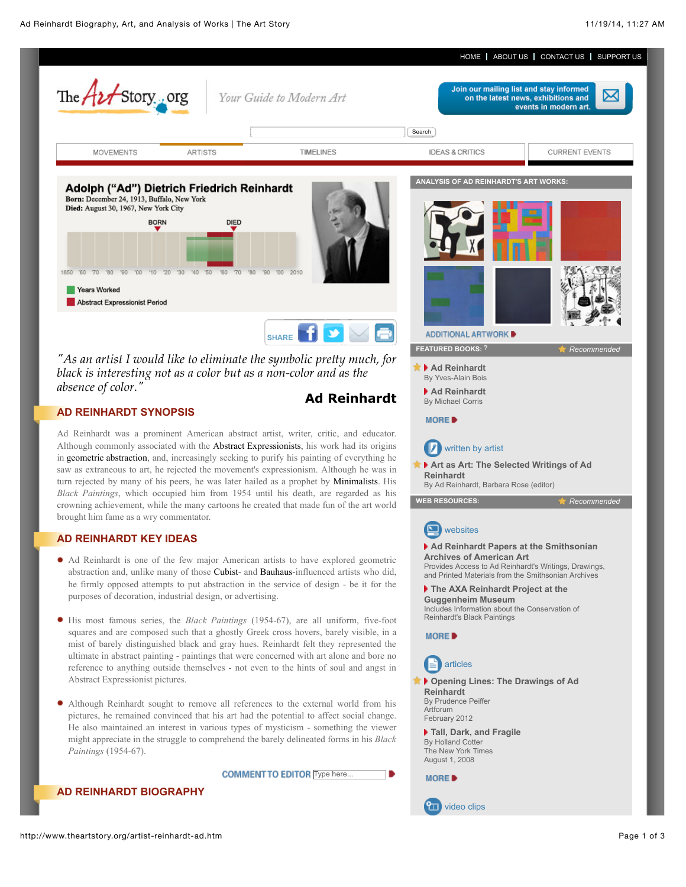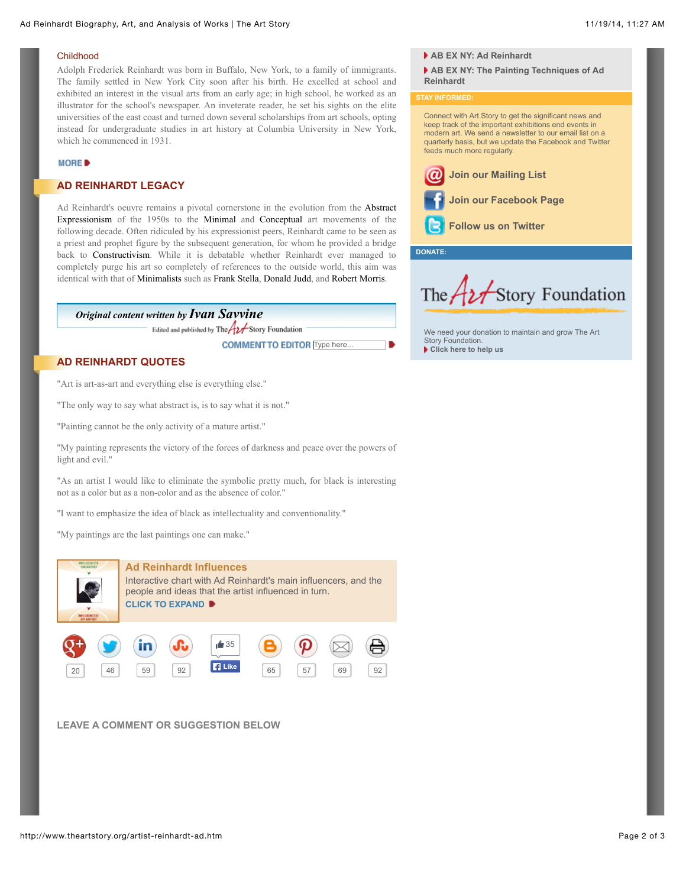### Childhood

Adolph Frederick Reinhardt was born in Buffalo, New York, to a family of immigrants. The family settled in New York City soon after his birth. He excelled at school and exhibited an interest in the visual arts from an early age; in high school, he worked as an illustrator for the school's newspaper. An inveterate reader, he set his sights on the elite universities of the east coast and turned down several scholarships from art schools, opting instead for undergraduate studies in art history at Columbia University in New York, which he commenced in 1931.

### MORE<sup>D</sup>

## **AD REINHARDT LEGACY**

Ad Reinhardt's oeuvre remains a pivotal cornerstone in the evolution from the Abstract Expressionism of the 1950s to the Minimal and Conceptual art movements of the following decade. Often ridiculed by his expressionist peers, Reinhardt came to be seen as a priest and prophet figure by the subsequent generation, for whom he provided a bridge back to Constructivism. While it is debatable whether Reinhardt ever managed to completely purge his art so completely of references to the outside world, this aim was identical with that of Minimalists such as Frank Stella, Donald Judd, and Robert Morris.

# *Original content written by [Ivan Savvine](http://www.theartstory.org/about_us.htm#savvine)*

Edited and published by The  $A$  Story Foundation

**COMMENT TO EDITOR** Type here...

# **AD REINHARDT QUOTES**

"Art is art-as-art and everything else is everything else."

"The only way to say what abstract is, is to say what it is not."

"Painting cannot be the only activity of a mature artist."

"My painting represents the victory of the forces of darkness and peace over the powers of light and evil."

"As an artist I would like to eliminate the symbolic pretty much, for black is interesting not as a color but as a non-color and as the absence of color."

"I want to emphasize the idea of black as intellectuality and conventionality."

"My paintings are the last paintings one can make."



**LEAVE A COMMENT OR SUGGESTION BELOW**

#### **[AB EX NY: Ad Reinhardt](http://www.youtube.com/watch?v=p5nej7Gy7kQ)**

**[AB EX NY: The Painting Techniques of Ad](http://www.youtube.com/watch?v=jSGGHmTXA3o) Reinhardt**

**STAY INFORMED:**

#### Connect with Art Story to get the significant news and keep track of the important exhibitions end events in modern art. We send a newsletter to our email list on a quarterly basis, but we update the Facebook and Twitter feeds much more regularly.



**DONATE:**



[We need your donation to maintain and grow The Art](http://www.theartstory.org/donate.htm) Story Foundation. **[Click here to help us](http://www.theartstory.org/donate.htm)**